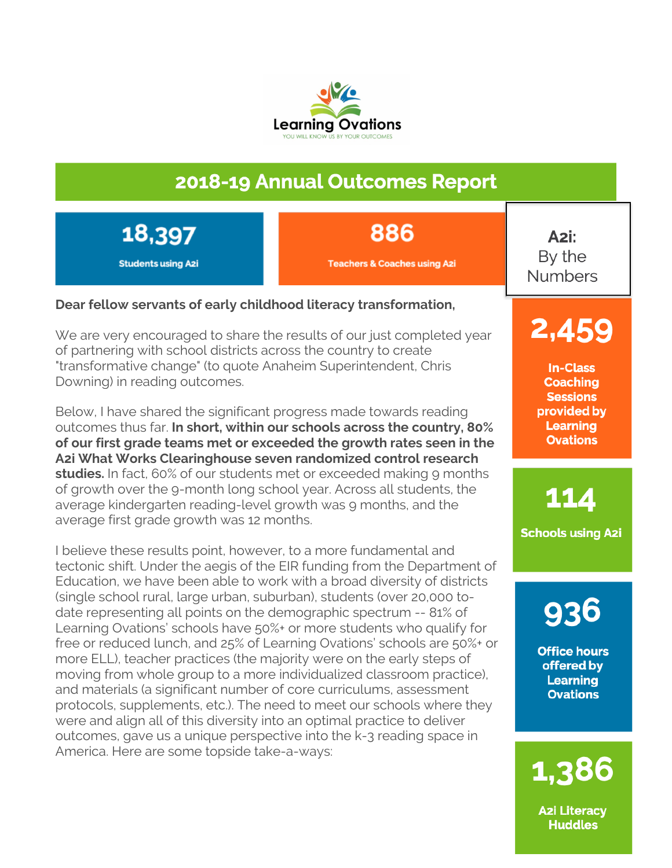

### 2018-19 Annual Outcomes Report

18,397 **Students using Azi**  886

**Teachers & Coaches using Azi** 

A2i: By the **Numbers** 

### **Dear fellow servants of early childhood literacy transformation,**

We are very encouraged to share the results of our just completed year of partnering with school districts across the country to create "transformative change" (to quote Anaheim Superintendent, Chris Downing) in reading outcomes.

Below, I have shared the significant progress made towards reading outcomes thus far. **In short, within our schools across the country, 80% of our first grade teams met or exceeded the growth rates seen in the A2i What Works Clearinghouse seven randomized control research**  studies. In fact, 60% of our students met or exceeded making 9 months of growth over the 9-month long school year. Across all students, the average kindergarten reading-level growth was 9 months, and the average first grade growth was 12 months.

I believe these results point, however, to a more fundamental and tectonic shift. Under the aegis of the EIR funding from the Department of Education, we have been able to work with a broad diversity of districts (single school rural, large urban, suburban), students (over 20,000 todate representing all points on the demographic spectrum -- 81% of Learning Ovations' schools have 50%+ or more students who qualify for free or reduced lunch, and 25% of Learning Ovations' schools are 50%+ or more ELL), teacher practices (the majority were on the early steps of moving from whole group to a more individualized classroom practice), and materials (a significant number of core curriculums, assessment protocols, supplements, etc.). The need to meet our schools where they were and align all of this diversity into an optimal practice to deliver outcomes, gave us a unique perspective into the k-3 reading space in America. Here are some topside take-a-ways:

**In-Class Coaching Sessions** provided by **Learning Ovations** 

2,459

114

**Schools using A2i** 

936

**Office hours** offered by **Learning Ovations** 

1,386

**Azi Literacy Huddles**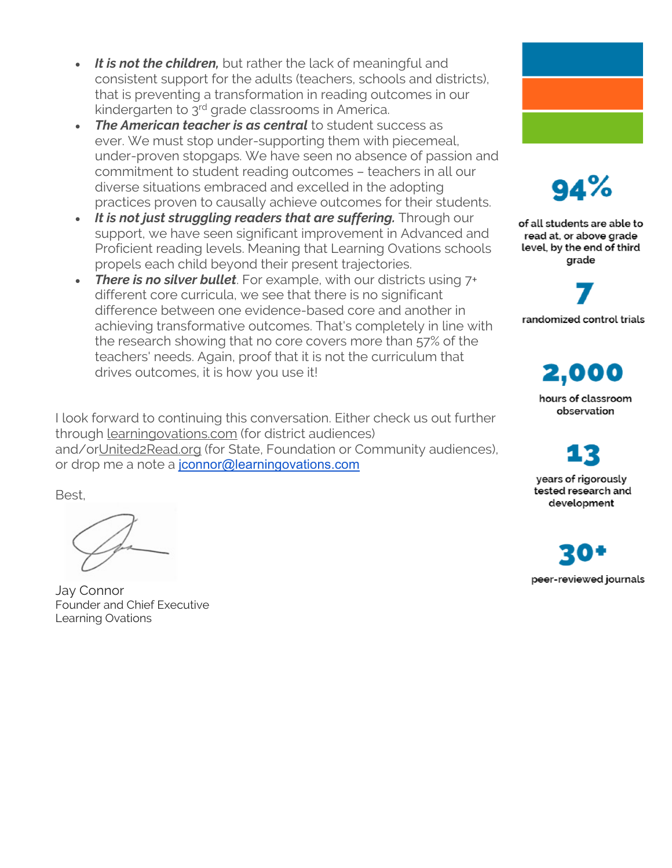- *It is not the children,* but rather the lack of meaningful and consistent support for the adults (teachers, schools and districts), that is preventing a transformation in reading outcomes in our kindergarten to 3<sup>rd</sup> grade classrooms in America.
- *The American teacher is as central* to student success as ever. We must stop under-supporting them with piecemeal, under-proven stopgaps. We have seen no absence of passion and commitment to student reading outcomes – teachers in all our diverse situations embraced and excelled in the adopting practices proven to causally achieve outcomes for their students.
- *It is not just struggling readers that are suffering.* Through our support, we have seen significant improvement in Advanced and Proficient reading levels. Meaning that Learning Ovations schools propels each child beyond their present trajectories.
- **There is no silver bullet**. For example, with our districts using 7+ different core curricula, we see that there is no significant difference between one evidence-based core and another in achieving transformative outcomes. That's completely in line with the research showing that no core covers more than 57% of the teachers' needs. Again, proof that it is not the curriculum that drives outcomes, it is how you use it!

I look forward to continuing this conversation. Either check us out further through learningovations.com (for district audiences) and/orUnited2Read.org (for State, Foundation or Community audiences), or drop me a note a jconnor@learningovations.com

Best,

Jay Connor Founder and Chief Executive Learning Ovations



94%

of all students are able to read at, or above grade level, by the end of third grade



randomized control trials

2,000 hours of classroom observation

years of rigorously tested research and development

peer-reviewed journals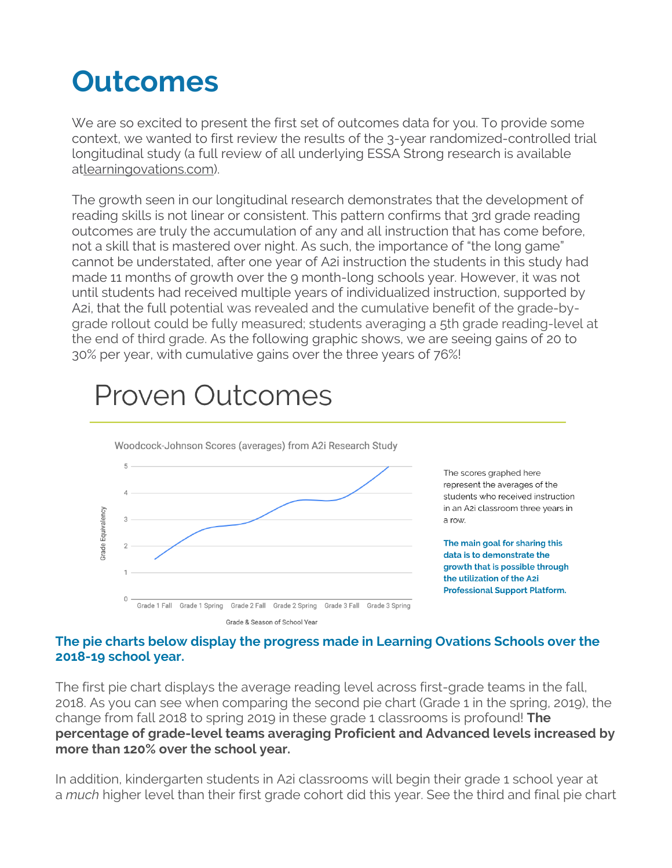# **Outcomes**

We are so excited to present the first set of outcomes data for you. To provide some context, we wanted to first review the results of the 3-year randomized-controlled trial longitudinal study (a full review of all underlying ESSA Strong research is available atlearningovations.com).

The growth seen in our longitudinal research demonstrates that the development of reading skills is not linear or consistent. This pattern confirms that 3rd grade reading outcomes are truly the accumulation of any and all instruction that has come before, not a skill that is mastered over night. As such, the importance of "the long game" cannot be understated, after one year of A2i instruction the students in this study had made 11 months of growth over the 9 month-long schools year. However, it was not until students had received multiple years of individualized instruction, supported by A2i, that the full potential was revealed and the cumulative benefit of the grade-bygrade rollout could be fully measured; students averaging a 5th grade reading-level at the end of third grade. As the following graphic shows, we are seeing gains of 20 to 30% per year, with cumulative gains over the three years of 76%!

## **Proven Outcomes**



The scores graphed here represent the averages of the students who received instruction in an A2i classroom three years in a row.

The main goal for sharing this data is to demonstrate the growth that is possible through the utilization of the A2i **Professional Support Platform.** 

### **The pie charts below display the progress made in Learning Ovations Schools over the 2018-19 school year.**

The first pie chart displays the average reading level across first-grade teams in the fall, 2018. As you can see when comparing the second pie chart (Grade 1 in the spring, 2019), the change from fall 2018 to spring 2019 in these grade 1 classrooms is profound! **The percentage of grade-level teams averaging Proficient and Advanced levels increased by more than 120% over the school year.**

In addition, kindergarten students in A2i classrooms will begin their grade 1 school year at a *much* higher level than their first grade cohort did this year. See the third and final pie chart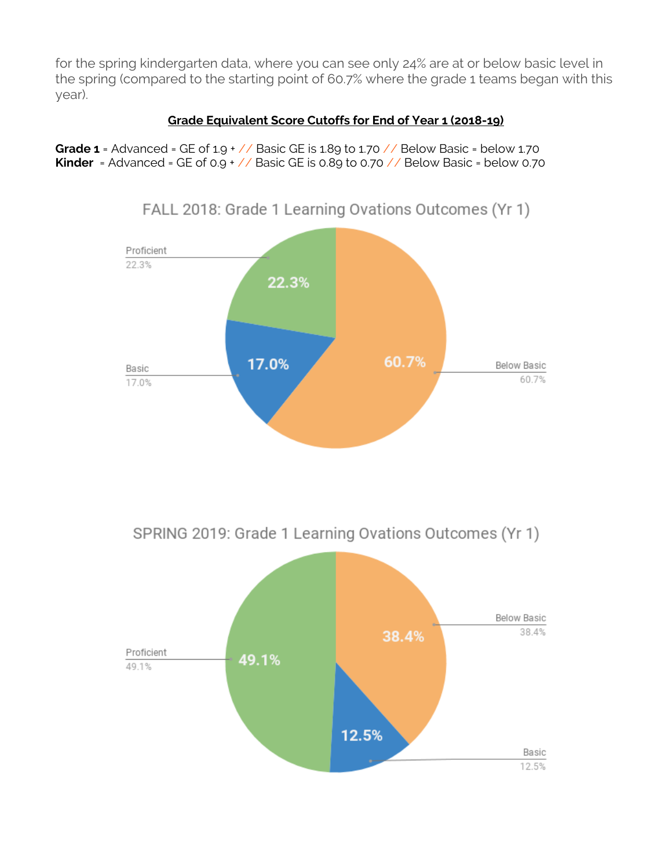for the spring kindergarten data, where you can see only 24% are at or below basic level in the spring (compared to the starting point of 60.7% where the grade 1 teams began with this year).

### **Grade Equivalent Score Cutoffs for End of Year 1 (2018-19)**

**Grade 1** = Advanced = GE of  $1.9 + \frac{\sqrt{2}}{2}$  Basic GE is 1.89 to 1.70  $\frac{\sqrt{2}}{2}$  Below Basic = below 1.70 **Kinder** = Advanced = GE of 0.9 + // Basic GE is 0.89 to 0.70 // Below Basic = below 0.70



FALL 2018: Grade 1 Learning Ovations Outcomes (Yr 1)

SPRING 2019: Grade 1 Learning Ovations Outcomes (Yr 1)